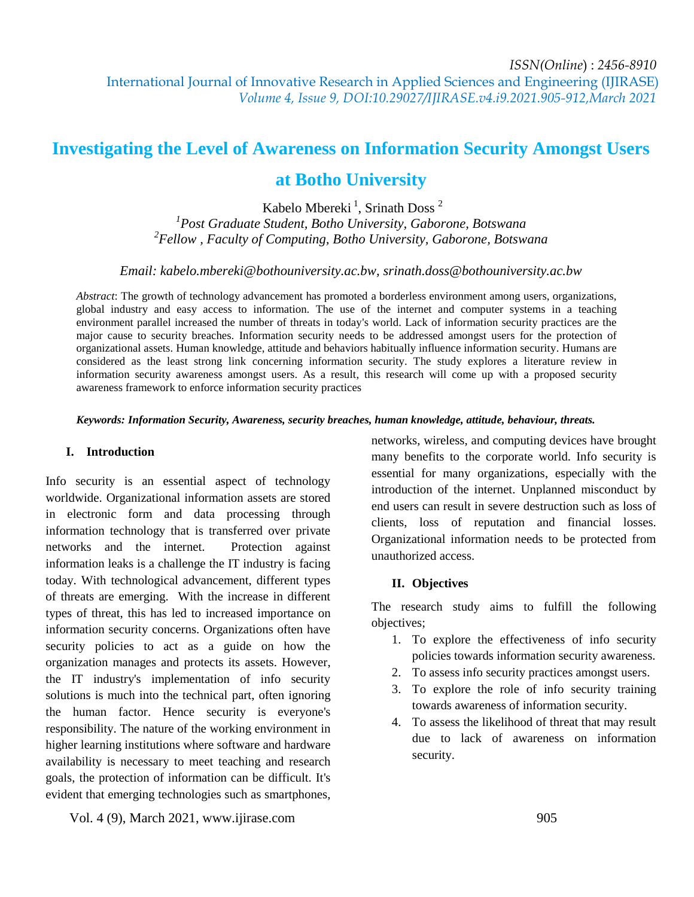# **Investigating the Level of Awareness on Information Security Amongst Users at Botho University**

Kabelo Mbereki<sup>1</sup>, Srinath Doss<sup>2</sup>

*1 Post Graduate Student, Botho University, Gaborone, Botswana 2 Fellow , Faculty of Computing, Botho University, Gaborone, Botswana*

*Email: kabelo.mbereki@bothouniversity.ac.bw, srinath.doss@bothouniversity.ac.bw*

*Abstract*: The growth of technology advancement has promoted a borderless environment among users, organizations, global industry and easy access to information. The use of the internet and computer systems in a teaching environment parallel increased the number of threats in today's world. Lack of information security practices are the major cause to security breaches. Information security needs to be addressed amongst users for the protection of organizational assets. Human knowledge, attitude and behaviors habitually influence information security. Humans are considered as the least strong link concerning information security. The study explores a literature review in information security awareness amongst users. As a result, this research will come up with a proposed security awareness framework to enforce information security practices

*Keywords: Information Security, Awareness, security breaches, human knowledge, attitude, behaviour, threats.*

## **I. Introduction**

Info security is an essential aspect of technology worldwide. Organizational information assets are stored in electronic form and data processing through information technology that is transferred over private networks and the internet. Protection against information leaks is a challenge the IT industry is facing today. With technological advancement, different types of threats are emerging. With the increase in different types of threat, this has led to increased importance on information security concerns. Organizations often have security policies to act as a guide on how the organization manages and protects its assets. However, the IT industry's implementation of info security solutions is much into the technical part, often ignoring the human factor. Hence security is everyone's responsibility. The nature of the working environment in higher learning institutions where software and hardware availability is necessary to meet teaching and research goals, the protection of information can be difficult. It's evident that emerging technologies such as smartphones,

networks, wireless, and computing devices have brought many benefits to the corporate world. Info security is essential for many organizations, especially with the introduction of the internet. Unplanned misconduct by end users can result in severe destruction such as loss of clients, loss of reputation and financial losses. Organizational information needs to be protected from unauthorized access.

# **II. Objectives**

The research study aims to fulfill the following objectives;

- 1. To explore the effectiveness of info security policies towards information security awareness.
- 2. To assess info security practices amongst users.
- 3. To explore the role of info security training towards awareness of information security.
- 4. To assess the likelihood of threat that may result due to lack of awareness on information security.

Vol. 4 (9), March 2021, www.ijirase.com 905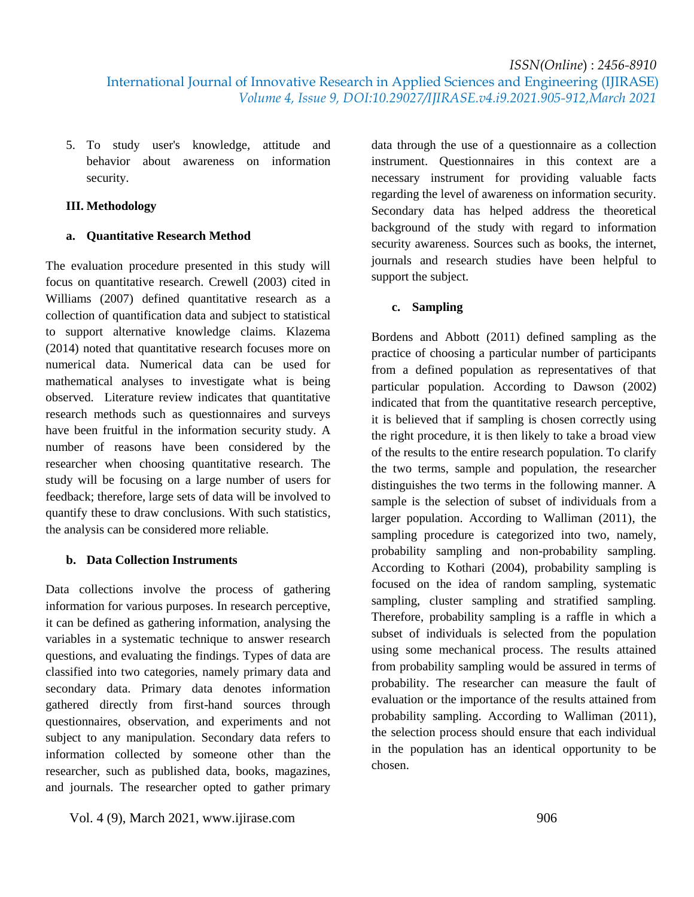5. To study user's knowledge, attitude and behavior about awareness on information security.

# **III. Methodology**

# **a. Quantitative Research Method**

The evaluation procedure presented in this study will focus on quantitative research. Crewell (2003) cited in Williams (2007) defined quantitative research as a collection of quantification data and subject to statistical to support alternative knowledge claims. Klazema (2014) noted that quantitative research focuses more on numerical data. Numerical data can be used for mathematical analyses to investigate what is being observed. Literature review indicates that quantitative research methods such as questionnaires and surveys have been fruitful in the information security study. A number of reasons have been considered by the researcher when choosing quantitative research. The study will be focusing on a large number of users for feedback; therefore, large sets of data will be involved to quantify these to draw conclusions. With such statistics, the analysis can be considered more reliable.

# **b. Data Collection Instruments**

Data collections involve the process of gathering information for various purposes. In research perceptive, it can be defined as gathering information, analysing the variables in a systematic technique to answer research questions, and evaluating the findings. Types of data are classified into two categories, namely primary data and secondary data. Primary data denotes information gathered directly from first-hand sources through questionnaires, observation, and experiments and not subject to any manipulation. Secondary data refers to information collected by someone other than the researcher, such as published data, books, magazines, and journals. The researcher opted to gather primary

data through the use of a questionnaire as a collection instrument. Questionnaires in this context are a necessary instrument for providing valuable facts regarding the level of awareness on information security. Secondary data has helped address the theoretical background of the study with regard to information security awareness. Sources such as books, the internet, journals and research studies have been helpful to support the subject.

# **c. Sampling**

Bordens and Abbott (2011) defined sampling as the practice of choosing a particular number of participants from a defined population as representatives of that particular population. According to Dawson (2002) indicated that from the quantitative research perceptive, it is believed that if sampling is chosen correctly using the right procedure, it is then likely to take a broad view of the results to the entire research population. To clarify the two terms, sample and population, the researcher distinguishes the two terms in the following manner. A sample is the selection of subset of individuals from a larger population. According to Walliman (2011), the sampling procedure is categorized into two, namely, probability sampling and non-probability sampling. According to Kothari (2004), probability sampling is focused on the idea of random sampling, systematic sampling, cluster sampling and stratified sampling. Therefore, probability sampling is a raffle in which a subset of individuals is selected from the population using some mechanical process. The results attained from probability sampling would be assured in terms of probability. The researcher can measure the fault of evaluation or the importance of the results attained from probability sampling. According to Walliman (2011), the selection process should ensure that each individual in the population has an identical opportunity to be chosen.

Vol. 4 (9), March 2021, www.ijirase.com 906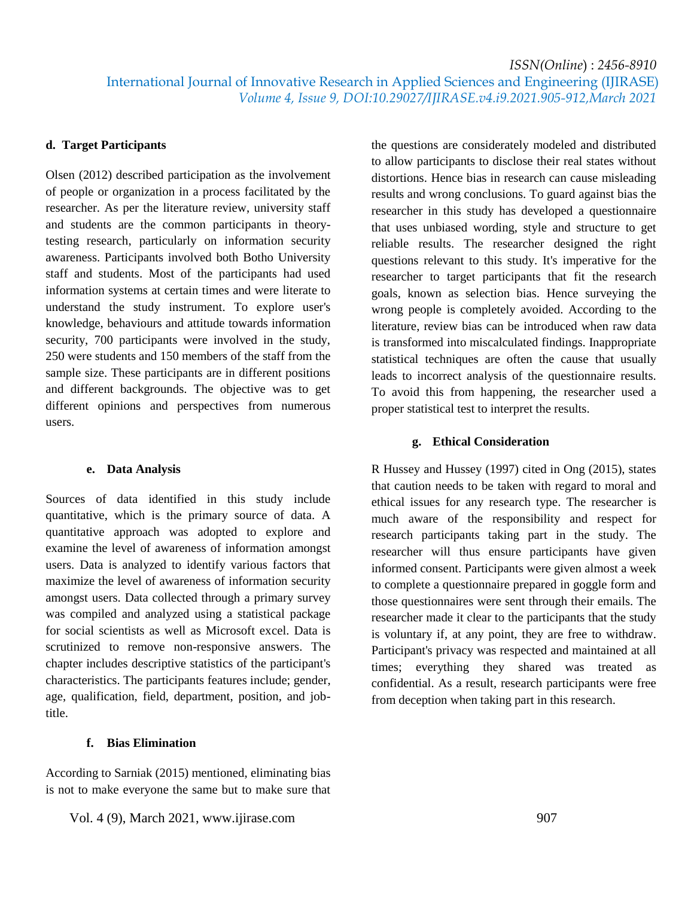International Journal of Innovative Research in Applied Sciences and Engineering (IJIRASE)  *Volume 4, Issue 9, DOI:10.29027/IJIRASE.v4.i9.2021.905-912,March 2021*

#### **d. Target Participants**

Olsen (2012) described participation as the involvement of people or organization in a process facilitated by the researcher. As per the literature review, university staff and students are the common participants in theorytesting research, particularly on information security awareness. Participants involved both Botho University staff and students. Most of the participants had used information systems at certain times and were literate to understand the study instrument. To explore user's knowledge, behaviours and attitude towards information security, 700 participants were involved in the study, 250 were students and 150 members of the staff from the sample size. These participants are in different positions and different backgrounds. The objective was to get different opinions and perspectives from numerous users.

#### **e. Data Analysis**

Sources of data identified in this study include quantitative, which is the primary source of data. A quantitative approach was adopted to explore and examine the level of awareness of information amongst users. Data is analyzed to identify various factors that maximize the level of awareness of information security amongst users. Data collected through a primary survey was compiled and analyzed using a statistical package for social scientists as well as Microsoft excel. Data is scrutinized to remove non-responsive answers. The chapter includes descriptive statistics of the participant's characteristics. The participants features include; gender, age, qualification, field, department, position, and jobtitle.

## **f. Bias Elimination**

According to Sarniak (2015) mentioned, eliminating bias is not to make everyone the same but to make sure that

Vol. 4 (9), March 2021, www.ijirase.com 907

the questions are considerately modeled and distributed to allow participants to disclose their real states without distortions. Hence bias in research can cause misleading results and wrong conclusions. To guard against bias the researcher in this study has developed a questionnaire that uses unbiased wording, style and structure to get reliable results. The researcher designed the right questions relevant to this study. It's imperative for the researcher to target participants that fit the research goals, known as selection bias. Hence surveying the wrong people is completely avoided. According to the literature, review bias can be introduced when raw data is transformed into miscalculated findings. Inappropriate statistical techniques are often the cause that usually leads to incorrect analysis of the questionnaire results. To avoid this from happening, the researcher used a proper statistical test to interpret the results.

#### **g. Ethical Consideration**

R Hussey and Hussey (1997) cited in Ong (2015), states that caution needs to be taken with regard to moral and ethical issues for any research type. The researcher is much aware of the responsibility and respect for research participants taking part in the study. The researcher will thus ensure participants have given informed consent. Participants were given almost a week to complete a questionnaire prepared in goggle form and those questionnaires were sent through their emails. The researcher made it clear to the participants that the study is voluntary if, at any point, they are free to withdraw. Participant's privacy was respected and maintained at all times; everything they shared was treated as confidential. As a result, research participants were free from deception when taking part in this research.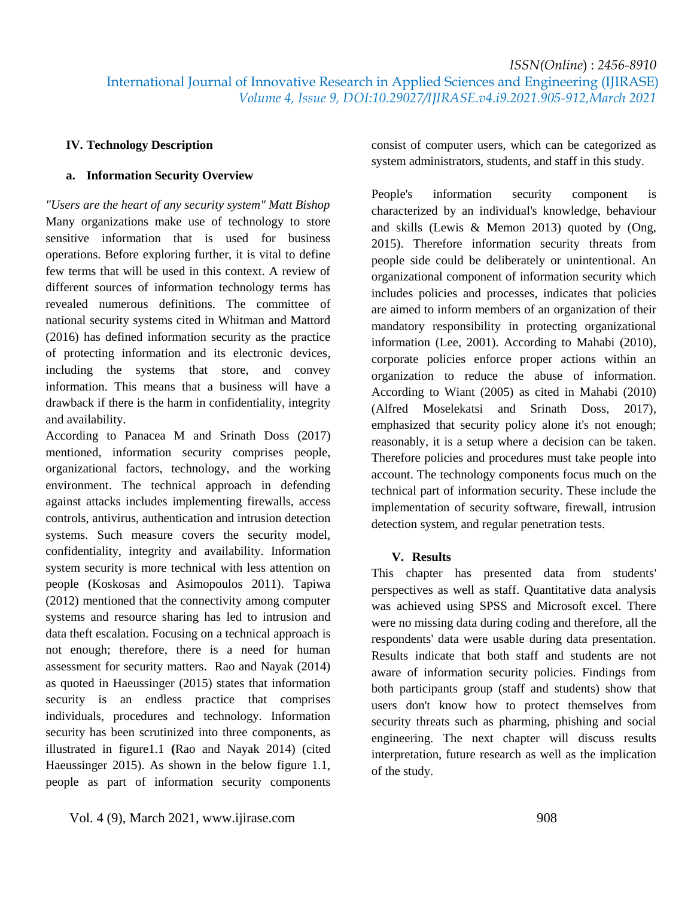International Journal of Innovative Research in Applied Sciences and Engineering (IJIRASE)  *Volume 4, Issue 9, DOI:10.29027/IJIRASE.v4.i9.2021.905-912,March 2021*

# **IV. Technology Description**

# **a. Information Security Overview**

*"Users are the heart of any security system" Matt Bishop* Many organizations make use of technology to store sensitive information that is used for business operations. Before exploring further, it is vital to define few terms that will be used in this context. A review of different sources of information technology terms has revealed numerous definitions. The committee of national security systems cited in Whitman and Mattord (2016) has defined information security as the practice of protecting information and its electronic devices, including the systems that store, and convey information. This means that a business will have a drawback if there is the harm in confidentiality, integrity and availability.

According to Panacea M and Srinath Doss (2017) mentioned, information security comprises people, organizational factors, technology, and the working environment. The technical approach in defending against attacks includes implementing firewalls, access controls, antivirus, authentication and intrusion detection systems. Such measure covers the security model, confidentiality, integrity and availability. Information system security is more technical with less attention on people (Koskosas and Asimopoulos 2011). Tapiwa (2012) mentioned that the connectivity among computer systems and resource sharing has led to intrusion and data theft escalation. Focusing on a technical approach is not enough; therefore, there is a need for human assessment for security matters. Rao and Nayak (2014) as quoted in Haeussinger (2015) states that information security is an endless practice that comprises individuals, procedures and technology. Information security has been scrutinized into three components, as illustrated in figure1.1 **(**Rao and Nayak 2014) (cited Haeussinger 2015). As shown in the below figure 1.1, people as part of information security components consist of computer users, which can be categorized as system administrators, students, and staff in this study.

People's information security component is characterized by an individual's knowledge, behaviour and skills (Lewis & Memon 2013) quoted by (Ong, 2015). Therefore information security threats from people side could be deliberately or unintentional. An organizational component of information security which includes policies and processes, indicates that policies are aimed to inform members of an organization of their mandatory responsibility in protecting organizational information (Lee, 2001). According to Mahabi (2010), corporate policies enforce proper actions within an organization to reduce the abuse of information. According to Wiant (2005) as cited in Mahabi (2010) (Alfred Moselekatsi and Srinath Doss, 2017), emphasized that security policy alone it's not enough; reasonably, it is a setup where a decision can be taken. Therefore policies and procedures must take people into account. The technology components focus much on the technical part of information security. These include the implementation of security software, firewall, intrusion detection system, and regular penetration tests.

#### **V. Results**

This chapter has presented data from students' perspectives as well as staff. Quantitative data analysis was achieved using SPSS and Microsoft excel. There were no missing data during coding and therefore, all the respondents' data were usable during data presentation. Results indicate that both staff and students are not aware of information security policies. Findings from both participants group (staff and students) show that users don't know how to protect themselves from security threats such as pharming, phishing and social engineering. The next chapter will discuss results interpretation, future research as well as the implication of the study.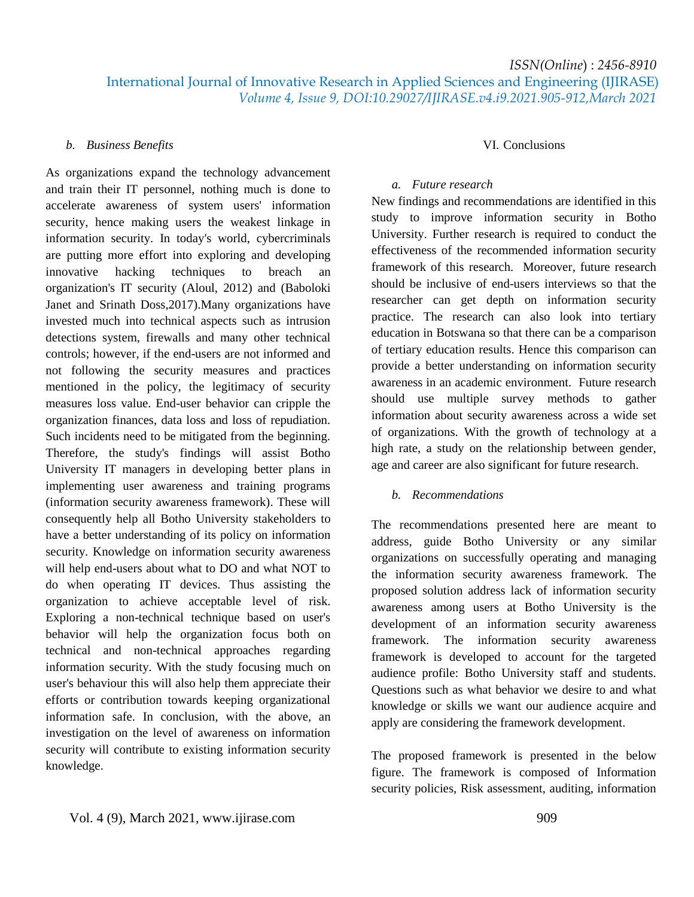International Journal of Innovative Research in Applied Sciences and Engineering (IJIRASE)  *Volume 4, Issue 9, DOI:10.29027/IJIRASE.v4.i9.2021.905-912,March 2021*

#### *b. Business Benefits*

As organizations expand the technology advancement and train their IT personnel, nothing much is done to accelerate awareness of system users' information security, hence making users the weakest linkage in information security. In today's world, cybercriminals are putting more effort into exploring and developing innovative hacking techniques to breach an organization's IT security (Aloul, 2012) and (Baboloki Janet and Srinath Doss,2017).Many organizations have invested much into technical aspects such as intrusion detections system, firewalls and many other technical controls; however, if the end-users are not informed and not following the security measures and practices mentioned in the policy, the legitimacy of security measures loss value. End-user behavior can cripple the organization finances, data loss and loss of repudiation. Such incidents need to be mitigated from the beginning. Therefore, the study's findings will assist Botho University IT managers in developing better plans in implementing user awareness and training programs (information security awareness framework). These will consequently help all Botho University stakeholders to have a better understanding of its policy on information security. Knowledge on information security awareness will help end-users about what to DO and what NOT to do when operating IT devices. Thus assisting the organization to achieve acceptable level of risk. Exploring a non-technical technique based on user's behavior will help the organization focus both on technical and non-technical approaches regarding information security. With the study focusing much on user's behaviour this will also help them appreciate their efforts or contribution towards keeping organizational information safe. In conclusion, with the above, an investigation on the level of awareness on information security will contribute to existing information security knowledge.

# VI. Conclusions

#### *a. Future research*

New findings and recommendations are identified in this study to improve information security in Botho University. Further research is required to conduct the effectiveness of the recommended information security framework of this research. Moreover, future research should be inclusive of end-users interviews so that the researcher can get depth on information security practice. The research can also look into tertiary education in Botswana so that there can be a comparison of tertiary education results. Hence this comparison can provide a better understanding on information security awareness in an academic environment. Future research should use multiple survey methods to gather information about security awareness across a wide set of organizations. With the growth of technology at a high rate, a study on the relationship between gender, age and career are also significant for future research.

### *b. Recommendations*

The recommendations presented here are meant to address, guide Botho University or any similar organizations on successfully operating and managing the information security awareness framework. The proposed solution address lack of information security awareness among users at Botho University is the development of an information security awareness framework. The information security awareness framework is developed to account for the targeted audience profile: Botho University staff and students. Questions such as what behavior we desire to and what knowledge or skills we want our audience acquire and apply are considering the framework development.

The proposed framework is presented in the below figure. The framework is composed of Information security policies, Risk assessment, auditing, information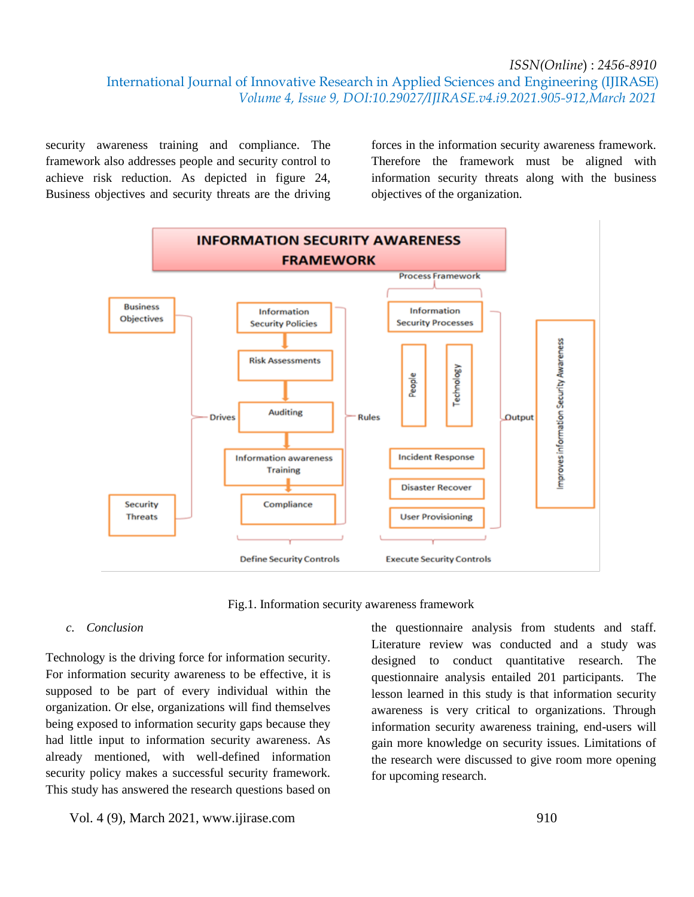International Journal of Innovative Research in Applied Sciences and Engineering (IJIRASE)  *Volume 4, Issue 9, DOI:10.29027/IJIRASE.v4.i9.2021.905-912,March 2021*

security awareness training and compliance. The framework also addresses people and security control to achieve risk reduction. As depicted in figure 24, Business objectives and security threats are the driving

forces in the information security awareness framework. Therefore the framework must be aligned with information security threats along with the business objectives of the organization.



Fig.1. Information security awareness framework

#### *c. Conclusion*

Technology is the driving force for information security. For information security awareness to be effective, it is supposed to be part of every individual within the organization. Or else, organizations will find themselves being exposed to information security gaps because they had little input to information security awareness. As already mentioned, with well-defined information security policy makes a successful security framework. This study has answered the research questions based on

Vol. 4 (9), March 2021, www.ijirase.com 910

the questionnaire analysis from students and staff. Literature review was conducted and a study was designed to conduct quantitative research. The questionnaire analysis entailed 201 participants. The lesson learned in this study is that information security awareness is very critical to organizations. Through information security awareness training, end-users will gain more knowledge on security issues. Limitations of the research were discussed to give room more opening for upcoming research.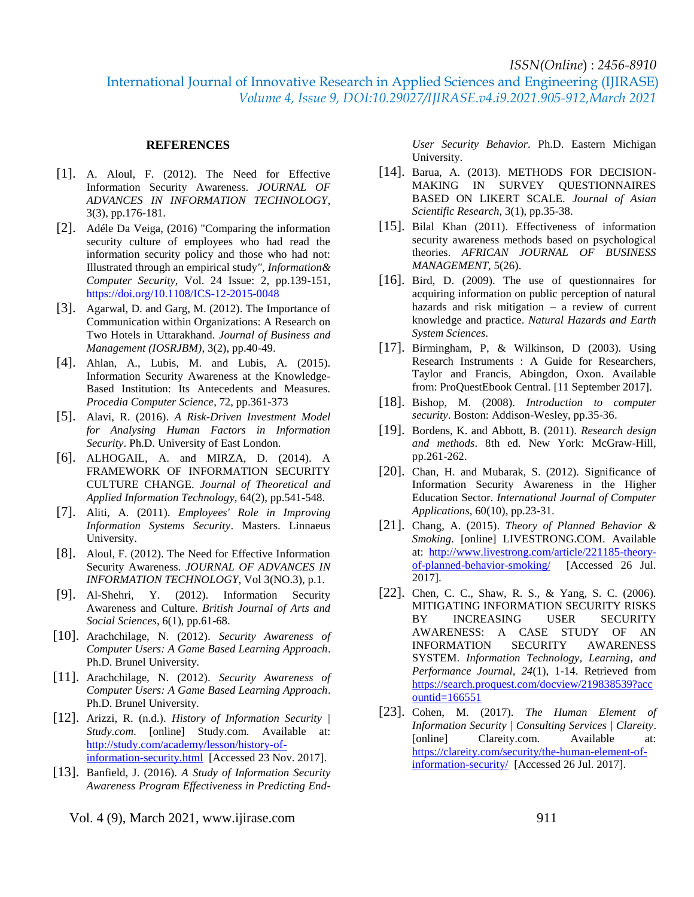International Journal of Innovative Research in Applied Sciences and Engineering (IJIRASE)  *Volume 4, Issue 9, DOI:10.29027/IJIRASE.v4.i9.2021.905-912,March 2021*

#### **REFERENCES**

- [1]. A. Aloul, F. (2012). The Need for Effective Information Security Awareness. *JOURNAL OF ADVANCES IN INFORMATION TECHNOLOGY*, 3(3), pp.176-181.
- [2]. Adéle Da Veiga, (2016) "Comparing the information security culture of employees who had read the information security policy and those who had not: Illustrated through an empirical study*", Information& Computer Security*, Vol. 24 Issue: 2, pp.139-151, https://doi.org/10.1108/ICS-12-2015-0048
- [3]. Agarwal, D. and Garg, M. (2012). The Importance of Communication within Organizations: A Research on Two Hotels in Uttarakhand. *Journal of Business and Management (IOSRJBM)*, 3(2), pp.40-49.
- [4]. Ahlan, A., Lubis, M. and Lubis, A. (2015). Information Security Awareness at the Knowledge-Based Institution: Its Antecedents and Measures. *Procedia Computer Science*, 72, pp.361-373
- [5]. Alavi, R. (2016). *A Risk-Driven Investment Model for Analysing Human Factors in Information Security*. Ph.D. University of East London.
- [6]. ALHOGAIL, A. and MIRZA, D. (2014). A FRAMEWORK OF INFORMATION SECURITY CULTURE CHANGE. *Journal of Theoretical and Applied Information Technology*, 64(2), pp.541-548.
- [7]. Aliti, A. (2011). *Employees' Role in Improving Information Systems Security*. Masters. Linnaeus University.
- [8]. Aloul, F. (2012). The Need for Effective Information Security Awareness. *JOURNAL OF ADVANCES IN INFORMATION TECHNOLOGY*, Vol 3(NO.3), p.1.
- [9]. Al-Shehri, Y. (2012). Information Security Awareness and Culture. *British Journal of Arts and Social Sciences*, 6(1), pp.61-68.
- [10]. Arachchilage, N. (2012). *Security Awareness of Computer Users: A Game Based Learning Approach*. Ph.D. Brunel University.
- [11]. Arachchilage, N. (2012). *Security Awareness of Computer Users: A Game Based Learning Approach*. Ph.D. Brunel University.
- [12]. Arizzi, R. (n.d.). *History of Information Security | Study.com*. [online] Study.com. Available at: [http://study.com/academy/lesson/history-of](http://study.com/academy/lesson/history-of-information-security.html)[information-security.html](http://study.com/academy/lesson/history-of-information-security.html) [Accessed 23 Nov. 2017].
- [13]. Banfield, J. (2016). *A Study of Information Security Awareness Program Effectiveness in Predicting End-*

*User Security Behavior*. Ph.D. Eastern Michigan University.

- [14]. Barua, A. (2013). METHODS FOR DECISION-MAKING IN SURVEY QUESTIONNAIRES BASED ON LIKERT SCALE. *Journal of Asian Scientific Research*, 3(1), pp.35-38.
- [15]. Bilal Khan (2011). Effectiveness of information security awareness methods based on psychological theories. *AFRICAN JOURNAL OF BUSINESS MANAGEMENT*, 5(26).
- [16]. Bird, D. (2009). The use of questionnaires for acquiring information on public perception of natural hazards and risk mitigation – a review of current knowledge and practice. *Natural Hazards and Earth System Sciences*.
- [17]. Birmingham, P, & Wilkinson, D (2003). Using Research Instruments : A Guide for Researchers, Taylor and Francis, Abingdon, Oxon. Available from: ProQuestEbook Central. [11 September 2017].
- [18]. Bishop, M. (2008). *Introduction to computer security*. Boston: Addison-Wesley, pp.35-36.
- [19]. Bordens, K. and Abbott, B. (2011). *Research design and methods*. 8th ed. New York: McGraw-Hill, pp.261-262.
- [20]. Chan, H. and Mubarak, S. (2012). Significance of Information Security Awareness in the Higher Education Sector. *International Journal of Computer Applications*, 60(10), pp.23-31.
- [21]. Chang, A. (2015). *Theory of Planned Behavior & Smoking*. [online] LIVESTRONG.COM. Available at: [http://www.livestrong.com/article/221185-theory](http://www.livestrong.com/article/221185-theory-of-planned-behavior-smoking/)[of-planned-behavior-smoking/](http://www.livestrong.com/article/221185-theory-of-planned-behavior-smoking/) [Accessed 26 Jul. 2017].
- [22]. Chen, C. C., Shaw, R. S., & Yang, S. C. (2006). MITIGATING INFORMATION SECURITY RISKS BY INCREASING USER SECURITY AWARENESS: A CASE STUDY OF AN INFORMATION SECURITY AWARENESS SYSTEM. *Information Technology, Learning, and Performance Journal, 24*(1), 1-14. Retrieved from [https://search.proquest.com/docview/219838539?acc](https://search.proquest.com/docview/219838539?accountid=166551) [ountid=166551](https://search.proquest.com/docview/219838539?accountid=166551)
- [23]. Cohen, M. (2017). *The Human Element of Information Security | Consulting Services | Clareity*. [online] Clareity.com. Available at: [https://clareity.com/security/the-human-element-of](https://clareity.com/security/the-human-element-of-information-security/)[information-security/](https://clareity.com/security/the-human-element-of-information-security/) [Accessed 26 Jul. 2017].

Vol. 4 (9), March 2021, www.ijirase.com 911